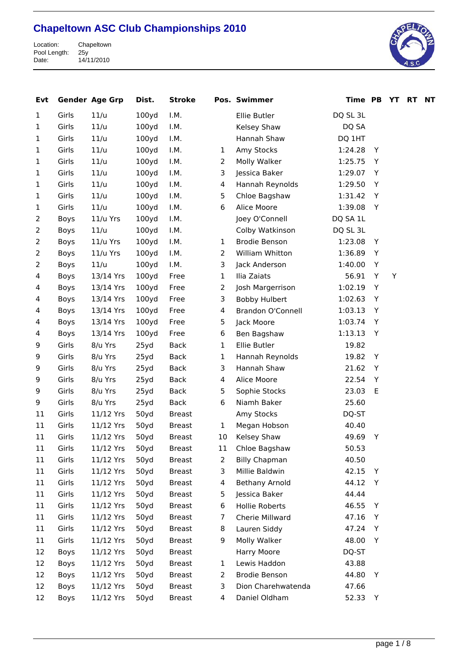

| Evt            |       | <b>Gender Age Grp</b> | Dist.             | <b>Stroke</b> |                | Pos. Swimmer          | Time PB  |   | YT | <b>RT</b> | <b>NT</b> |
|----------------|-------|-----------------------|-------------------|---------------|----------------|-----------------------|----------|---|----|-----------|-----------|
| 1              | Girls | 11/u                  | 100 <sub>yd</sub> | I.M.          |                | Ellie Butler          | DQ SL 3L |   |    |           |           |
| $\mathbf{1}$   | Girls | 11/u                  | 100y <sub>d</sub> | I.M.          |                | Kelsey Shaw           | DQ SA    |   |    |           |           |
| $\mathbf{1}$   | Girls | 11/u                  | 100y <sub>d</sub> | I.M.          |                | Hannah Shaw           | DQ 1HT   |   |    |           |           |
| 1              | Girls | 11/u                  | 100y <sub>d</sub> | I.M.          | 1              | Amy Stocks            | 1:24.28  | Y |    |           |           |
| 1              | Girls | 11/u                  | 100y <sub>d</sub> | I.M.          | $\overline{2}$ | Molly Walker          | 1:25.75  | Y |    |           |           |
| 1              | Girls | 11/u                  | 100y <sub>d</sub> | I.M.          | 3              | Jessica Baker         | 1:29.07  | Y |    |           |           |
| $\mathbf{1}$   | Girls | 11/u                  | 100y <sub>d</sub> | I.M.          | $\overline{4}$ | Hannah Reynolds       | 1:29.50  | Y |    |           |           |
| 1              | Girls | 11/u                  | 100y <sub>d</sub> | I.M.          | 5              | Chloe Bagshaw         | 1:31.42  | Y |    |           |           |
| $\mathbf{1}$   | Girls | 11/u                  | 100y <sub>d</sub> | I.M.          | 6              | Alice Moore           | 1:39.08  | Y |    |           |           |
| 2              | Boys  | 11/u Yrs              | 100y <sub>d</sub> | I.M.          |                | Joey O'Connell        | DQ SA 1L |   |    |           |           |
| $\overline{2}$ | Boys  | 11/u                  | 100y <sub>d</sub> | I.M.          |                | Colby Watkinson       | DQ SL 3L |   |    |           |           |
| $\overline{2}$ | Boys  | 11/u Yrs              | 100y <sub>d</sub> | I.M.          | 1              | <b>Brodie Benson</b>  | 1:23.08  | Y |    |           |           |
| 2              | Boys  | 11/u Yrs              | 100y <sub>d</sub> | I.M.          | $\overline{2}$ | William Whitton       | 1:36.89  | Y |    |           |           |
| 2              | Boys  | 11/u                  | 100y <sub>d</sub> | I.M.          | 3              | Jack Anderson         | 1:40.00  | Y |    |           |           |
| 4              | Boys  | 13/14 Yrs             | 100y <sub>d</sub> | Free          | $\mathbf{1}$   | Ilia Zaiats           | 56.91    | Y | Y  |           |           |
| 4              | Boys  | 13/14 Yrs             | 100y <sub>d</sub> | Free          | $\overline{2}$ | Josh Margerrison      | 1:02.19  | Υ |    |           |           |
| 4              | Boys  | 13/14 Yrs             | 100y <sub>d</sub> | Free          | 3              | <b>Bobby Hulbert</b>  | 1:02.63  | Y |    |           |           |
| 4              | Boys  | 13/14 Yrs             | 100y <sub>d</sub> | Free          | $\overline{4}$ | Brandon O'Connell     | 1:03.13  | Y |    |           |           |
| 4              | Boys  | 13/14 Yrs             | 100y <sub>d</sub> | Free          | 5              | Jack Moore            | 1:03.74  | Y |    |           |           |
| 4              | Boys  | 13/14 Yrs             | 100y <sub>d</sub> | Free          | 6              | Ben Bagshaw           | 1:13.13  | Y |    |           |           |
| 9              | Girls | 8/u Yrs               | 25yd              | <b>Back</b>   | $\mathbf{1}$   | Ellie Butler          | 19.82    |   |    |           |           |
| 9              | Girls | 8/u Yrs               | 25yd              | Back          | $\mathbf{1}$   | Hannah Reynolds       | 19.82    | Y |    |           |           |
| 9              | Girls | 8/u Yrs               | 25yd              | <b>Back</b>   | 3              | Hannah Shaw           | 21.62    | Y |    |           |           |
| 9              | Girls | 8/u Yrs               | 25yd              | <b>Back</b>   | $\overline{4}$ | Alice Moore           | 22.54    | Y |    |           |           |
| 9              | Girls | 8/u Yrs               | 25yd              | <b>Back</b>   | 5              | Sophie Stocks         | 23.03    | E |    |           |           |
| 9              | Girls | 8/u Yrs               | 25yd              | <b>Back</b>   | 6              | Niamh Baker           | 25.60    |   |    |           |           |
| 11             | Girls | 11/12 Yrs             | 50yd              | <b>Breast</b> |                | Amy Stocks            | DQ-ST    |   |    |           |           |
| 11             | Girls | 11/12 Yrs             | 50yd              | <b>Breast</b> | $\mathbf{1}$   | Megan Hobson          | 40.40    |   |    |           |           |
| 11             | Girls | 11/12 Yrs             | 50yd              | <b>Breast</b> | 10             | Kelsey Shaw           | 49.69    | Y |    |           |           |
| 11             | Girls | 11/12 Yrs             | 50yd              | <b>Breast</b> | 11             | Chloe Bagshaw         | 50.53    |   |    |           |           |
| 11             | Girls | 11/12 Yrs             | 50yd              | <b>Breast</b> | 2              | <b>Billy Chapman</b>  | 40.50    |   |    |           |           |
| 11             | Girls | 11/12 Yrs             | 50yd              | <b>Breast</b> | 3              | Millie Baldwin        | 42.15    | Y |    |           |           |
| 11             | Girls | 11/12 Yrs             | 50yd              | <b>Breast</b> | 4              | <b>Bethany Arnold</b> | 44.12    | Y |    |           |           |
| 11             | Girls | 11/12 Yrs             | 50yd              | <b>Breast</b> | 5              | Jessica Baker         | 44.44    |   |    |           |           |
| 11             | Girls | 11/12 Yrs             | 50yd              | <b>Breast</b> | 6              | Hollie Roberts        | 46.55    | Y |    |           |           |
| 11             | Girls | 11/12 Yrs             | 50yd              | <b>Breast</b> | 7              | Cherie Millward       | 47.16    | Y |    |           |           |
| 11             | Girls | 11/12 Yrs             | 50yd              | <b>Breast</b> | 8              | Lauren Siddy          | 47.24    | Y |    |           |           |
| 11             | Girls | 11/12 Yrs             | 50yd              | <b>Breast</b> | 9              | Molly Walker          | 48.00    | Y |    |           |           |
| 12             | Boys  | 11/12 Yrs             | 50yd              | <b>Breast</b> |                | Harry Moore           | DQ-ST    |   |    |           |           |
| 12             | Boys  | 11/12 Yrs             | 50yd              | <b>Breast</b> | $\mathbf{1}$   | Lewis Haddon          | 43.88    |   |    |           |           |
| 12             | Boys  | 11/12 Yrs             | 50yd              | <b>Breast</b> | 2              | Brodie Benson         | 44.80    | Y |    |           |           |
| 12             | Boys  | 11/12 Yrs             | 50yd              | <b>Breast</b> | 3              | Dion Charehwatenda    | 47.66    |   |    |           |           |
| 12             | Boys  | 11/12 Yrs             | 50yd              | <b>Breast</b> | $\overline{4}$ | Daniel Oldham         | 52.33    | Y |    |           |           |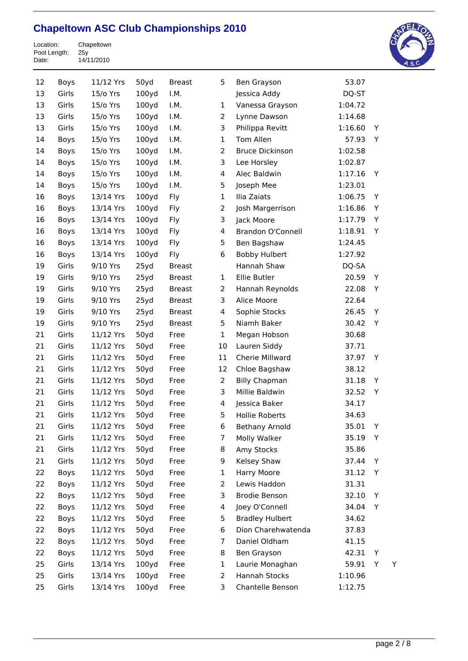Location: Chapeltown Pool Length: 25y Date: 14/11/2010



| 12 | Boys        | 11/12 Yrs | 50yd              | <b>Breast</b> | 5              | Ben Grayson              | 53.07   |   |   |
|----|-------------|-----------|-------------------|---------------|----------------|--------------------------|---------|---|---|
| 13 | Girls       | 15/o Yrs  | 100y <sub>d</sub> | I.M.          |                | Jessica Addy             | DQ-ST   |   |   |
| 13 | Girls       | 15/o Yrs  | 100y <sub>d</sub> | I.M.          | 1              | Vanessa Grayson          | 1:04.72 |   |   |
| 13 | Girls       | 15/o Yrs  | 100yd             | I.M.          | 2              | Lynne Dawson             | 1:14.68 |   |   |
| 13 | Girls       | 15/o Yrs  | 100yd             | I.M.          | 3              | Philippa Revitt          | 1:16.60 | Y |   |
| 14 | Boys        | 15/o Yrs  | 100yd             | I.M.          | 1              | Tom Allen                | 57.93   | Y |   |
| 14 | Boys        | 15/o Yrs  | 100y <sub>d</sub> | I.M.          | 2              | <b>Bruce Dickinson</b>   | 1:02.58 |   |   |
| 14 | Boys        | 15/o Yrs  | 100yd             | I.M.          | 3              | Lee Horsley              | 1:02.87 |   |   |
| 14 | Boys        | 15/o Yrs  | 100y <sub>d</sub> | I.M.          | 4              | Alec Baldwin             | 1:17.16 | Y |   |
| 14 | Boys        | 15/o Yrs  | 100y <sub>d</sub> | I.M.          | 5              | Joseph Mee               | 1:23.01 |   |   |
| 16 | Boys        | 13/14 Yrs | 100y <sub>d</sub> | Fly           | 1              | Ilia Zaiats              | 1:06.75 | Υ |   |
| 16 | Boys        | 13/14 Yrs | 100y <sub>d</sub> | Fly           | $\overline{2}$ | Josh Margerrison         | 1:16.86 | Υ |   |
| 16 | Boys        | 13/14 Yrs | 100y <sub>d</sub> | Fly           | 3              | Jack Moore               | 1:17.79 | Y |   |
| 16 | Boys        | 13/14 Yrs | 100y <sub>d</sub> | Fly           | 4              | <b>Brandon O'Connell</b> | 1:18.91 | Υ |   |
| 16 | Boys        | 13/14 Yrs | 100y <sub>d</sub> | Fly           | 5              | Ben Bagshaw              | 1:24.45 |   |   |
| 16 | Boys        | 13/14 Yrs | 100yd             | Fly           | 6              | <b>Bobby Hulbert</b>     | 1:27.92 |   |   |
| 19 | Girls       | 9/10 Yrs  | 25yd              | <b>Breast</b> |                | Hannah Shaw              | DQ-SA   |   |   |
| 19 | Girls       | 9/10 Yrs  | 25yd              | <b>Breast</b> | $\mathbf{1}$   | Ellie Butler             | 20.59   | Y |   |
| 19 | Girls       | 9/10 Yrs  | 25yd              | <b>Breast</b> | $\overline{2}$ | Hannah Reynolds          | 22.08   | Υ |   |
| 19 | Girls       | 9/10 Yrs  | 25yd              | <b>Breast</b> | 3              | Alice Moore              | 22.64   |   |   |
| 19 | Girls       | 9/10 Yrs  | 25yd              | <b>Breast</b> | 4              | Sophie Stocks            | 26.45   | Y |   |
| 19 | Girls       | 9/10 Yrs  | 25yd              | <b>Breast</b> | 5              | Niamh Baker              | 30.42   | Y |   |
| 21 | Girls       | 11/12 Yrs | 50yd              | Free          | $\mathbf{1}$   | Megan Hobson             | 30.68   |   |   |
| 21 | Girls       | 11/12 Yrs | 50yd              | Free          | 10             | Lauren Siddy             | 37.71   |   |   |
| 21 | Girls       | 11/12 Yrs | 50yd              | Free          | 11             | Cherie Millward          | 37.97   | Υ |   |
| 21 | Girls       | 11/12 Yrs | 50yd              | Free          | 12             | Chloe Bagshaw            | 38.12   |   |   |
| 21 | Girls       | 11/12 Yrs | 50yd              | Free          | $\overline{2}$ | <b>Billy Chapman</b>     | 31.18   | Y |   |
| 21 | Girls       | 11/12 Yrs | 50yd              | Free          | 3              | Millie Baldwin           | 32.52   | Y |   |
| 21 | Girls       | 11/12 Yrs | 50yd              | Free          | 4              | Jessica Baker            | 34.17   |   |   |
| 21 | Girls       | 11/12 Yrs | 50yd              | Free          | 5              | <b>Hollie Roberts</b>    | 34.63   |   |   |
| 21 | Girls       | 11/12 Yrs | 50yd              | Free          | 6              | <b>Bethany Arnold</b>    | 35.01   | Y |   |
| 21 | Girls       | 11/12 Yrs | 50yd              | Free          | 7              | Molly Walker             | 35.19   | Y |   |
| 21 | Girls       | 11/12 Yrs | 50yd              | Free          | 8              | Amy Stocks               | 35.86   |   |   |
| 21 | Girls       | 11/12 Yrs | 50yd              | Free          | 9              | Kelsey Shaw              | 37.44   | Υ |   |
| 22 | Boys        | 11/12 Yrs | 50yd              | Free          | 1              | Harry Moore              | 31.12   | Y |   |
| 22 | Boys        | 11/12 Yrs | 50yd              | Free          | 2              | Lewis Haddon             | 31.31   |   |   |
| 22 | Boys        | 11/12 Yrs | 50yd              | Free          | 3              | <b>Brodie Benson</b>     | 32.10   | Υ |   |
| 22 | Boys        | 11/12 Yrs | 50yd              | Free          | 4              | Joey O'Connell           | 34.04   | Y |   |
| 22 | Boys        | 11/12 Yrs | 50yd              | Free          | 5              | <b>Bradley Hulbert</b>   | 34.62   |   |   |
| 22 | Boys        | 11/12 Yrs | 50yd              | Free          | 6              | Dion Charehwatenda       | 37.83   |   |   |
| 22 | <b>Boys</b> | 11/12 Yrs | 50yd              | Free          | 7              | Daniel Oldham            | 41.15   |   |   |
| 22 | Boys        | 11/12 Yrs | 50yd              | Free          | 8              | Ben Grayson              | 42.31   | Y |   |
| 25 | Girls       | 13/14 Yrs | 100y <sub>d</sub> | Free          | 1              | Laurie Monaghan          | 59.91   | Υ | Y |
| 25 | Girls       | 13/14 Yrs | 100yd             | Free          | 2              | Hannah Stocks            | 1:10.96 |   |   |
| 25 | Girls       | 13/14 Yrs | 100y <sub>d</sub> | Free          | 3              | Chantelle Benson         | 1:12.75 |   |   |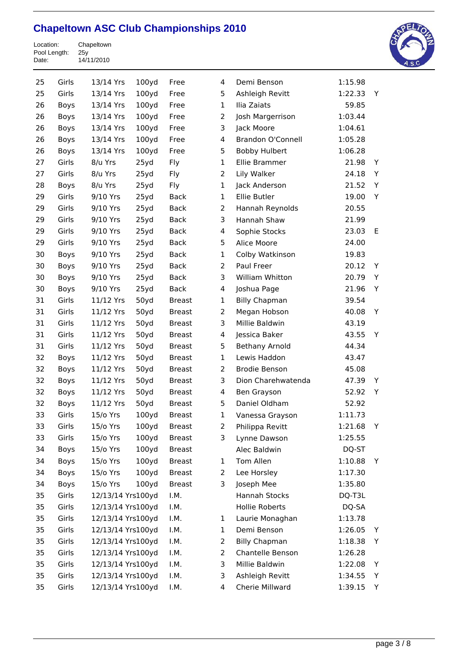Location: Chapeltown Pool Length: 25y Date: 14/11/2010



| 25 | Girls       | 13/14 Yrs         | 100y <sub>d</sub> | Free          | 4              | Demi Benson              | 1:15.98 |   |  |
|----|-------------|-------------------|-------------------|---------------|----------------|--------------------------|---------|---|--|
| 25 | Girls       | 13/14 Yrs         | 100y <sub>d</sub> | Free          | 5              | Ashleigh Revitt          | 1:22.33 | Y |  |
| 26 | Boys        | 13/14 Yrs         | 100y <sub>d</sub> | Free          | $\mathbf 1$    | Ilia Zaiats              | 59.85   |   |  |
| 26 | <b>Boys</b> | 13/14 Yrs         | 100yd             | Free          | $\overline{2}$ | Josh Margerrison         | 1:03.44 |   |  |
| 26 | Boys        | 13/14 Yrs         | 100y <sub>d</sub> | Free          | 3              | Jack Moore               | 1:04.61 |   |  |
| 26 | Boys        | 13/14 Yrs         | 100y <sub>d</sub> | Free          | 4              | <b>Brandon O'Connell</b> | 1:05.28 |   |  |
| 26 | Boys        | 13/14 Yrs         | 100y <sub>d</sub> | Free          | 5              | <b>Bobby Hulbert</b>     | 1:06.28 |   |  |
| 27 | Girls       | 8/u Yrs           | 25yd              | Fly           | 1              | Ellie Brammer            | 21.98   | Y |  |
| 27 | Girls       | 8/u Yrs           | 25yd              | Fly           | $\overline{2}$ | Lily Walker              | 24.18   | Υ |  |
| 28 | Boys        | 8/u Yrs           | 25yd              | Fly           | 1              | Jack Anderson            | 21.52   | Y |  |
| 29 | Girls       | 9/10 Yrs          | 25yd              | <b>Back</b>   | $\mathbf{1}$   | Ellie Butler             | 19.00   | Y |  |
| 29 | Girls       | 9/10 Yrs          | 25yd              | <b>Back</b>   | $\overline{2}$ | Hannah Reynolds          | 20.55   |   |  |
| 29 | Girls       | 9/10 Yrs          | 25yd              | <b>Back</b>   | 3              | Hannah Shaw              | 21.99   |   |  |
| 29 | Girls       | 9/10 Yrs          | 25yd              | <b>Back</b>   | 4              | Sophie Stocks            | 23.03   | Е |  |
| 29 | Girls       | 9/10 Yrs          | 25yd              | <b>Back</b>   | 5              | Alice Moore              | 24.00   |   |  |
| 30 | Boys        | 9/10 Yrs          | 25yd              | <b>Back</b>   | $\mathbf 1$    | Colby Watkinson          | 19.83   |   |  |
| 30 | Boys        | 9/10 Yrs          | 25yd              | <b>Back</b>   | $\overline{2}$ | Paul Freer               | 20.12   | Y |  |
| 30 | Boys        | 9/10 Yrs          | 25yd              | <b>Back</b>   | 3              | William Whitton          | 20.79   | Υ |  |
| 30 | Boys        | 9/10 Yrs          | 25yd              | <b>Back</b>   | 4              | Joshua Page              | 21.96   | Y |  |
| 31 | Girls       | 11/12 Yrs         | 50yd              | <b>Breast</b> | 1              | <b>Billy Chapman</b>     | 39.54   |   |  |
| 31 | Girls       | 11/12 Yrs         | 50yd              | <b>Breast</b> | $\overline{2}$ | Megan Hobson             | 40.08   | Y |  |
| 31 | Girls       | 11/12 Yrs         | 50yd              | <b>Breast</b> | 3              | Millie Baldwin           | 43.19   |   |  |
| 31 | Girls       | 11/12 Yrs         | 50yd              | <b>Breast</b> | 4              | Jessica Baker            | 43.55   | Y |  |
| 31 | Girls       | 11/12 Yrs         | 50yd              | <b>Breast</b> | 5              | <b>Bethany Arnold</b>    | 44.34   |   |  |
| 32 | Boys        | 11/12 Yrs         | 50yd              | <b>Breast</b> | 1              | Lewis Haddon             | 43.47   |   |  |
| 32 | Boys        | 11/12 Yrs         | 50yd              | <b>Breast</b> | $\overline{2}$ | <b>Brodie Benson</b>     | 45.08   |   |  |
| 32 | Boys        | 11/12 Yrs         | 50yd              | <b>Breast</b> | 3              | Dion Charehwatenda       | 47.39   | Y |  |
| 32 | Boys        | 11/12 Yrs         | 50yd              | <b>Breast</b> | 4              | Ben Grayson              | 52.92   | Y |  |
| 32 | <b>Boys</b> | 11/12 Yrs         | 50yd              | <b>Breast</b> | 5              | Daniel Oldham            | 52.92   |   |  |
| 33 | Girls       | 15/o Yrs          | 100y <sub>d</sub> | <b>Breast</b> | $\mathbf 1$    | Vanessa Grayson          | 1:11.73 |   |  |
| 33 | Girls       | 15/o Yrs          | 100yd             | Breast        | 2              | Philippa Revitt          | 1:21.68 | Y |  |
| 33 | Girls       | 15/o Yrs          | 100y <sub>d</sub> | <b>Breast</b> | 3              | Lynne Dawson             | 1:25.55 |   |  |
| 34 | Boys        | 15/o Yrs          | 100y <sub>d</sub> | <b>Breast</b> |                | Alec Baldwin             | DQ-ST   |   |  |
| 34 | Boys        | 15/o Yrs          | 100y <sub>d</sub> | <b>Breast</b> | 1              | Tom Allen                | 1:10.88 | Υ |  |
| 34 | Boys        | 15/o Yrs          | 100yd             | <b>Breast</b> | 2              | Lee Horsley              | 1:17.30 |   |  |
| 34 | Boys        | 15/o Yrs          | 100y <sub>d</sub> | <b>Breast</b> | 3              | Joseph Mee               | 1:35.80 |   |  |
| 35 | Girls       | 12/13/14 Yrs100yd |                   | I.M.          |                | Hannah Stocks            | DQ-T3L  |   |  |
| 35 | Girls       | 12/13/14 Yrs100yd |                   | I.M.          |                | <b>Hollie Roberts</b>    | DQ-SA   |   |  |
| 35 | Girls       | 12/13/14 Yrs100yd |                   | I.M.          | 1              | Laurie Monaghan          | 1:13.78 |   |  |
| 35 | Girls       | 12/13/14 Yrs100yd |                   | I.M.          | 1              | Demi Benson              | 1:26.05 | Y |  |
| 35 | Girls       | 12/13/14 Yrs100yd |                   | I.M.          | 2              | <b>Billy Chapman</b>     | 1:18.38 | Υ |  |
| 35 | Girls       | 12/13/14 Yrs100yd |                   | I.M.          | 2              | Chantelle Benson         | 1:26.28 |   |  |
| 35 | Girls       | 12/13/14 Yrs100yd |                   | I.M.          | 3              | Millie Baldwin           | 1:22.08 | Y |  |
| 35 | Girls       | 12/13/14 Yrs100yd |                   | I.M.          | 3              | Ashleigh Revitt          | 1:34.55 | Υ |  |
| 35 | Girls       | 12/13/14 Yrs100yd |                   | I.M.          | 4              | Cherie Millward          | 1:39.15 | Υ |  |
|    |             |                   |                   |               |                |                          |         |   |  |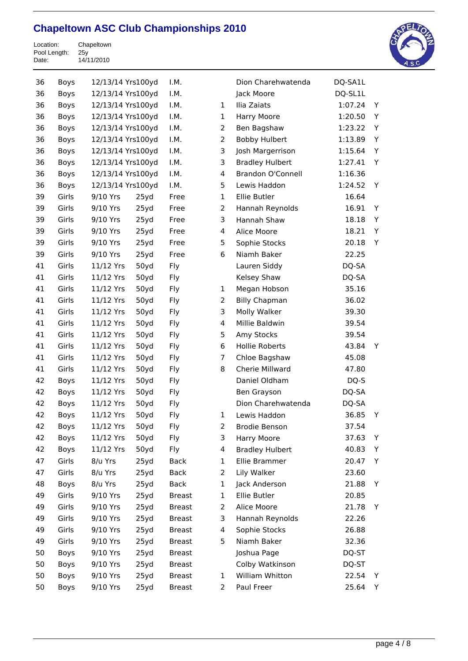Location: Chapeltown Pool Length: 25y Date: 14/11/2010



| 36 | Boys        | 12/13/14 Yrs100yd |      | I.M.          |                         | Dion Charehwatenda       | DQ-SA1L |   |
|----|-------------|-------------------|------|---------------|-------------------------|--------------------------|---------|---|
| 36 | Boys        | 12/13/14 Yrs100yd |      | I.M.          |                         | Jack Moore               | DQ-SL1L |   |
| 36 | Boys        | 12/13/14 Yrs100yd |      | I.M.          | $\mathbf{1}$            | Ilia Zaiats              | 1:07.24 | Y |
| 36 | Boys        | 12/13/14 Yrs100yd |      | I.M.          | $\mathbf{1}$            | Harry Moore              | 1:20.50 | Y |
| 36 | <b>Boys</b> | 12/13/14 Yrs100yd |      | I.M.          | $\overline{2}$          | Ben Bagshaw              | 1:23.22 | Y |
| 36 | Boys        | 12/13/14 Yrs100yd |      | I.M.          | $\overline{2}$          | <b>Bobby Hulbert</b>     | 1:13.89 | Υ |
| 36 | <b>Boys</b> | 12/13/14 Yrs100yd |      | I.M.          | 3                       | Josh Margerrison         | 1:15.64 | Y |
| 36 | Boys        | 12/13/14 Yrs100yd |      | I.M.          | 3                       | <b>Bradley Hulbert</b>   | 1:27.41 | Y |
| 36 | <b>Boys</b> | 12/13/14 Yrs100yd |      | I.M.          | 4                       | <b>Brandon O'Connell</b> | 1:16.36 |   |
| 36 | Boys        | 12/13/14 Yrs100yd |      | I.M.          | 5                       | Lewis Haddon             | 1:24.52 | Y |
| 39 | Girls       | 9/10 Yrs          | 25yd | Free          | $\mathbf{1}$            | Ellie Butler             | 16.64   |   |
| 39 | Girls       | 9/10 Yrs          | 25yd | Free          | $\overline{2}$          | Hannah Reynolds          | 16.91   | Y |
| 39 | Girls       | 9/10 Yrs          | 25yd | Free          | 3                       | Hannah Shaw              | 18.18   | Y |
| 39 | Girls       | 9/10 Yrs          | 25yd | Free          | 4                       | Alice Moore              | 18.21   | Y |
| 39 | Girls       | 9/10 Yrs          | 25yd | Free          | 5                       | Sophie Stocks            | 20.18   | Υ |
| 39 | Girls       | 9/10 Yrs          | 25yd | Free          | 6                       | Niamh Baker              | 22.25   |   |
| 41 | Girls       | 11/12 Yrs         | 50yd | Fly           |                         | Lauren Siddy             | DQ-SA   |   |
| 41 | Girls       | 11/12 Yrs         | 50yd | Fly           |                         | Kelsey Shaw              | DQ-SA   |   |
| 41 | Girls       | 11/12 Yrs         | 50yd | Fly           | $\mathbf{1}$            | Megan Hobson             | 35.16   |   |
| 41 | Girls       | 11/12 Yrs         | 50yd | Fly           | $\overline{2}$          | <b>Billy Chapman</b>     | 36.02   |   |
| 41 | Girls       | 11/12 Yrs         | 50yd | Fly           | 3                       | Molly Walker             | 39.30   |   |
| 41 | Girls       | 11/12 Yrs         | 50yd | Fly           | 4                       | Millie Baldwin           | 39.54   |   |
| 41 | Girls       | 11/12 Yrs         | 50yd | Fly           | 5                       | Amy Stocks               | 39.54   |   |
| 41 | Girls       | 11/12 Yrs         | 50yd | Fly           | 6                       | <b>Hollie Roberts</b>    | 43.84   | Y |
| 41 | Girls       | 11/12 Yrs         | 50yd | Fly           | $\overline{7}$          | Chloe Bagshaw            | 45.08   |   |
| 41 | Girls       | 11/12 Yrs         | 50yd | Fly           | 8                       | Cherie Millward          | 47.80   |   |
| 42 | Boys        | 11/12 Yrs         | 50yd | Fly           |                         | Daniel Oldham            | DQ-S    |   |
| 42 | Boys        | 11/12 Yrs         | 50yd | Fly           |                         | Ben Grayson              | DQ-SA   |   |
| 42 | Boys        | 11/12 Yrs         | 50yd | Fly           |                         | Dion Charehwatenda       | DQ-SA   |   |
| 42 | Boys        | 11/12 Yrs         | 50yd | Fly           | 1                       | Lewis Haddon             | 36.85   | Υ |
| 42 | Boys        | 11/12 Yrs         | 50yd | Fly           | 2                       | Brodie Benson            | 37.54   |   |
| 42 | Boys        | 11/12 Yrs         | 50yd | Fly           | 3                       | Harry Moore              | 37.63   | Y |
| 42 | Boys        | 11/12 Yrs         | 50yd | Fly           | $\overline{\mathbf{4}}$ | <b>Bradley Hulbert</b>   | 40.83   | Y |
| 47 | Girls       | 8/u Yrs           | 25yd | <b>Back</b>   | 1                       | Ellie Brammer            | 20.47   | Y |
| 47 | Girls       | 8/u Yrs           | 25yd | <b>Back</b>   | $\overline{2}$          | Lily Walker              | 23.60   |   |
| 48 | Boys        | 8/u Yrs           | 25yd | <b>Back</b>   | $\mathbf{1}$            | Jack Anderson            | 21.88   | Y |
| 49 | Girls       | 9/10 Yrs          | 25yd | <b>Breast</b> | $\mathbf{1}$            | Ellie Butler             | 20.85   |   |
| 49 | Girls       | 9/10 Yrs          | 25yd | <b>Breast</b> | 2                       | Alice Moore              | 21.78   | Y |
| 49 | Girls       | 9/10 Yrs          | 25yd | <b>Breast</b> | 3                       | Hannah Reynolds          | 22.26   |   |
| 49 | Girls       | 9/10 Yrs          | 25yd | <b>Breast</b> | 4                       | Sophie Stocks            | 26.88   |   |
| 49 | Girls       | 9/10 Yrs          | 25yd | <b>Breast</b> | 5                       | Niamh Baker              | 32.36   |   |
| 50 | Boys        | 9/10 Yrs          | 25yd | <b>Breast</b> |                         | Joshua Page              | DQ-ST   |   |
| 50 | Boys        | 9/10 Yrs          | 25yd | <b>Breast</b> |                         | Colby Watkinson          | DQ-ST   |   |
| 50 | Boys        | 9/10 Yrs          | 25yd | <b>Breast</b> | $\mathbf{1}$            | William Whitton          | 22.54   | Y |
| 50 | Boys        | 9/10 Yrs          | 25yd | <b>Breast</b> | $\overline{a}$          | Paul Freer               | 25.64   | Y |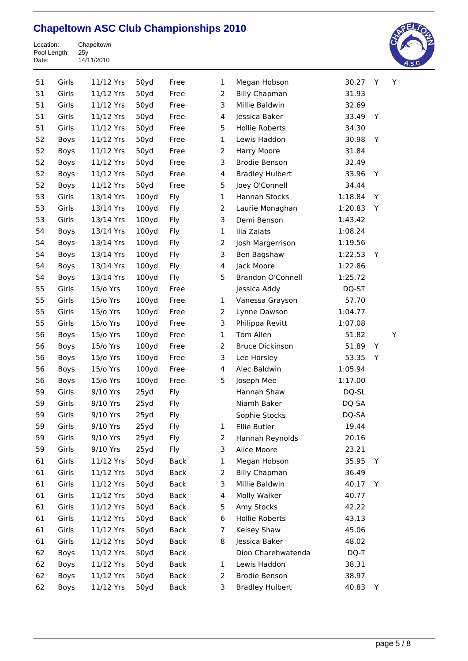

| 51 | Girls | 11/12 Yrs | 50yd              | Free        | 1              | Megan Hobson             | 30.27   | Y | Y |  |
|----|-------|-----------|-------------------|-------------|----------------|--------------------------|---------|---|---|--|
| 51 | Girls | 11/12 Yrs | 50yd              | Free        | $\overline{2}$ | <b>Billy Chapman</b>     | 31.93   |   |   |  |
| 51 | Girls | 11/12 Yrs | 50yd              | Free        | 3              | Millie Baldwin           | 32.69   |   |   |  |
| 51 | Girls | 11/12 Yrs | 50yd              | Free        | 4              | Jessica Baker            | 33.49   | Υ |   |  |
| 51 | Girls | 11/12 Yrs | 50yd              | Free        | 5              | Hollie Roberts           | 34.30   |   |   |  |
| 52 | Boys  | 11/12 Yrs | 50yd              | Free        | 1              | Lewis Haddon             | 30.98   | Y |   |  |
| 52 | Boys  | 11/12 Yrs | 50yd              | Free        | $\overline{2}$ | Harry Moore              | 31.84   |   |   |  |
| 52 | Boys  | 11/12 Yrs | 50yd              | Free        | 3              | <b>Brodie Benson</b>     | 32.49   |   |   |  |
| 52 | Boys  | 11/12 Yrs | 50yd              | Free        | $\overline{4}$ | <b>Bradley Hulbert</b>   | 33.96   | Υ |   |  |
| 52 | Boys  | 11/12 Yrs | 50yd              | Free        | 5              | Joey O'Connell           | 34.44   |   |   |  |
| 53 | Girls | 13/14 Yrs | 100yd             | Fly         | $\mathbf 1$    | Hannah Stocks            | 1:18.84 | Υ |   |  |
| 53 | Girls | 13/14 Yrs | 100yd             | Fly         | $\overline{2}$ | Laurie Monaghan          | 1:20.83 | Υ |   |  |
| 53 | Girls | 13/14 Yrs | 100yd             | Fly         | 3              | Demi Benson              | 1:43.42 |   |   |  |
| 54 | Boys  | 13/14 Yrs | 100yd             | Fly         | $\mathbf 1$    | Ilia Zaiats              | 1:08.24 |   |   |  |
| 54 | Boys  | 13/14 Yrs | 100yd             | Fly         | $\overline{2}$ | Josh Margerrison         | 1:19.56 |   |   |  |
| 54 | Boys  | 13/14 Yrs | 100yd             | Fly         | 3              | Ben Bagshaw              | 1:22.53 | Y |   |  |
| 54 | Boys  | 13/14 Yrs | 100yd             | Fly         | $\overline{4}$ | Jack Moore               | 1:22.86 |   |   |  |
| 54 | Boys  | 13/14 Yrs | 100yd             | Fly         | 5              | <b>Brandon O'Connell</b> | 1:25.72 |   |   |  |
| 55 | Girls | 15/o Yrs  | 100y <sub>d</sub> | Free        |                | Jessica Addy             | DQ-ST   |   |   |  |
| 55 | Girls | 15/o Yrs  | 100yd             | Free        | $\mathbf{1}$   | Vanessa Grayson          | 57.70   |   |   |  |
| 55 | Girls | 15/o Yrs  | 100yd             | Free        | $\overline{2}$ | Lynne Dawson             | 1:04.77 |   |   |  |
| 55 | Girls | 15/o Yrs  | 100yd             | Free        | 3              | Philippa Revitt          | 1:07.08 |   |   |  |
| 56 | Boys  | 15/o Yrs  | 100yd             | Free        | $\mathbf 1$    | Tom Allen                | 51.82   |   | Υ |  |
| 56 | Boys  | 15/o Yrs  | 100yd             | Free        | $\overline{2}$ | <b>Bruce Dickinson</b>   | 51.89   | Υ |   |  |
| 56 | Boys  | 15/o Yrs  | 100yd             | Free        | 3              | Lee Horsley              | 53.35   | Υ |   |  |
| 56 | Boys  | 15/o Yrs  | 100yd             | Free        | 4              | Alec Baldwin             | 1:05.94 |   |   |  |
| 56 | Boys  | 15/o Yrs  | 100yd             | Free        | 5              | Joseph Mee               | 1:17.00 |   |   |  |
| 59 | Girls | 9/10 Yrs  | 25yd              | Fly         |                | Hannah Shaw              | DQ-SL   |   |   |  |
| 59 | Girls | 9/10 Yrs  | 25yd              | Fly         |                | Niamh Baker              | DQ-SA   |   |   |  |
| 59 | Girls | 9/10 Yrs  | 25yd              | Fly         |                | Sophie Stocks            | DQ-SA   |   |   |  |
| 59 | Girls | 9/10 Yrs  | 25yd              | Fly         | $\mathbf 1$    | Ellie Butler             | 19.44   |   |   |  |
| 59 | Girls | 9/10 Yrs  | 25yd              | Fly         | $\overline{2}$ | Hannah Reynolds          | 20.16   |   |   |  |
| 59 | Girls | 9/10 Yrs  | 25yd              | Fly         | 3              | Alice Moore              | 23.21   |   |   |  |
| 61 | Girls | 11/12 Yrs | 50yd              | <b>Back</b> | 1              | Megan Hobson             | 35.95   | Υ |   |  |
| 61 | Girls | 11/12 Yrs | 50yd              | <b>Back</b> | $\overline{2}$ | <b>Billy Chapman</b>     | 36.49   |   |   |  |
| 61 | Girls | 11/12 Yrs | 50yd              | Back        | 3              | Millie Baldwin           | 40.17   | Υ |   |  |
| 61 | Girls | 11/12 Yrs | 50yd              | <b>Back</b> | 4              | Molly Walker             | 40.77   |   |   |  |
| 61 | Girls | 11/12 Yrs | 50yd              | <b>Back</b> | 5              | Amy Stocks               | 42.22   |   |   |  |
| 61 | Girls | 11/12 Yrs | 50yd              | <b>Back</b> | 6              | Hollie Roberts           | 43.13   |   |   |  |
| 61 | Girls | 11/12 Yrs | 50yd              | Back        | 7              | Kelsey Shaw              | 45.06   |   |   |  |
| 61 | Girls | 11/12 Yrs | 50yd              | Back        | 8              | Jessica Baker            | 48.02   |   |   |  |
| 62 | Boys  | 11/12 Yrs | 50yd              | <b>Back</b> |                | Dion Charehwatenda       | DQ-T    |   |   |  |
| 62 | Boys  | 11/12 Yrs | 50yd              | Back        | 1              | Lewis Haddon             | 38.31   |   |   |  |
| 62 | Boys  | 11/12 Yrs | 50yd              | Back        | 2              | <b>Brodie Benson</b>     | 38.97   |   |   |  |
| 62 | Boys  | 11/12 Yrs | 50yd              | Back        | 3              | <b>Bradley Hulbert</b>   | 40.83   | Y |   |  |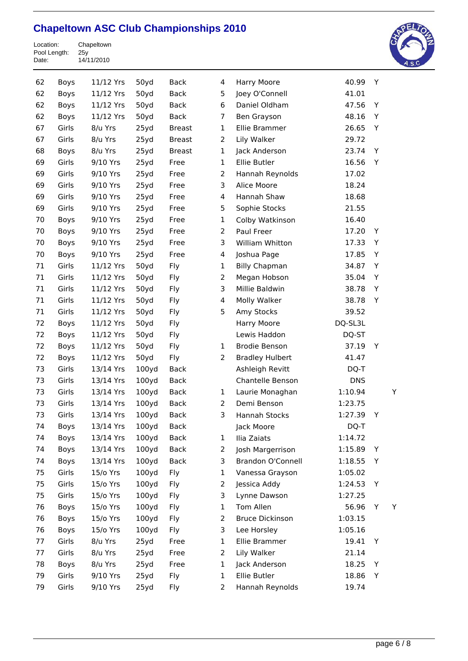

| 62 | Boys        | 11/12 Yrs | 50yd              | <b>Back</b>   | 4              | Harry Moore            | 40.99      | Y |   |
|----|-------------|-----------|-------------------|---------------|----------------|------------------------|------------|---|---|
| 62 | Boys        | 11/12 Yrs | 50yd              | <b>Back</b>   | 5              | Joey O'Connell         | 41.01      |   |   |
| 62 | Boys        | 11/12 Yrs | 50yd              | <b>Back</b>   | 6              | Daniel Oldham          | 47.56      | Y |   |
| 62 | Boys        | 11/12 Yrs | 50yd              | <b>Back</b>   | 7              | Ben Grayson            | 48.16      | Y |   |
| 67 | Girls       | 8/u Yrs   | 25yd              | <b>Breast</b> | 1              | Ellie Brammer          | 26.65      | Y |   |
| 67 | Girls       | 8/u Yrs   | 25yd              | <b>Breast</b> | $\overline{2}$ | Lily Walker            | 29.72      |   |   |
| 68 | Boys        | 8/u Yrs   | 25yd              | <b>Breast</b> | $\mathbf 1$    | Jack Anderson          | 23.74      | Υ |   |
| 69 | Girls       | 9/10 Yrs  | 25yd              | Free          | $\mathbf{1}$   | Ellie Butler           | 16.56      | Υ |   |
| 69 | Girls       | 9/10 Yrs  | 25yd              | Free          | $\overline{2}$ | Hannah Reynolds        | 17.02      |   |   |
| 69 | Girls       | 9/10 Yrs  | 25yd              | Free          | 3              | Alice Moore            | 18.24      |   |   |
| 69 | Girls       | 9/10 Yrs  | 25yd              | Free          | 4              | Hannah Shaw            | 18.68      |   |   |
| 69 | Girls       | 9/10 Yrs  | 25yd              | Free          | 5              | Sophie Stocks          | 21.55      |   |   |
| 70 | Boys        | 9/10 Yrs  | 25yd              | Free          | $\mathbf 1$    | Colby Watkinson        | 16.40      |   |   |
| 70 | Boys        | 9/10 Yrs  | 25yd              | Free          | $\overline{2}$ | Paul Freer             | 17.20      | Y |   |
| 70 | Boys        | 9/10 Yrs  | 25yd              | Free          | 3              | William Whitton        | 17.33      | Y |   |
| 70 | Boys        | 9/10 Yrs  | 25yd              | Free          | 4              | Joshua Page            | 17.85      | Υ |   |
| 71 | Girls       | 11/12 Yrs | 50yd              | Fly           | 1              | <b>Billy Chapman</b>   | 34.87      | Υ |   |
| 71 | Girls       | 11/12 Yrs | 50yd              | Fly           | $\overline{2}$ | Megan Hobson           | 35.04      | Υ |   |
| 71 | Girls       | 11/12 Yrs | 50yd              | Fly           | 3              | Millie Baldwin         | 38.78      | Y |   |
| 71 | Girls       | 11/12 Yrs | 50yd              | Fly           | 4              | Molly Walker           | 38.78      | Y |   |
| 71 | Girls       | 11/12 Yrs | 50yd              | Fly           | 5              | Amy Stocks             | 39.52      |   |   |
| 72 | Boys        | 11/12 Yrs | 50yd              | Fly           |                | Harry Moore            | DQ-SL3L    |   |   |
| 72 | Boys        | 11/12 Yrs | 50yd              | Fly           |                | Lewis Haddon           | DQ-ST      |   |   |
| 72 | Boys        | 11/12 Yrs | 50yd              | Fly           | $\mathbf{1}$   | <b>Brodie Benson</b>   | 37.19      | Y |   |
| 72 | Boys        | 11/12 Yrs | 50yd              | Fly           | $\overline{2}$ | <b>Bradley Hulbert</b> | 41.47      |   |   |
| 73 | Girls       | 13/14 Yrs | 100y <sub>d</sub> | <b>Back</b>   |                | Ashleigh Revitt        | DQ-T       |   |   |
| 73 | Girls       | 13/14 Yrs | 100y <sub>d</sub> | <b>Back</b>   |                | Chantelle Benson       | <b>DNS</b> |   |   |
| 73 | Girls       | 13/14 Yrs | 100y <sub>d</sub> | <b>Back</b>   | $\mathbf{1}$   | Laurie Monaghan        | 1:10.94    |   | Y |
| 73 | Girls       | 13/14 Yrs | 100y <sub>d</sub> | <b>Back</b>   | $\overline{2}$ | Demi Benson            | 1:23.75    |   |   |
| 73 | Girls       | 13/14 Yrs | 100y <sub>d</sub> | Back          | 3              | Hannah Stocks          | 1:27.39    | Y |   |
| 74 | Boys        | 13/14 Yrs | 100 <sub>yd</sub> | Back          |                | Jack Moore             | DQ-T       |   |   |
| 74 | Boys        | 13/14 Yrs | 100yd             | Back          | 1              | Ilia Zaiats            | 1:14.72    |   |   |
| 74 | <b>Boys</b> | 13/14 Yrs | 100yd             | <b>Back</b>   | 2              | Josh Margerrison       | 1:15.89    | Υ |   |
| 74 | <b>Boys</b> | 13/14 Yrs | 100yd             | <b>Back</b>   | 3              | Brandon O'Connell      | 1:18.55    | Υ |   |
| 75 | Girls       | 15/o Yrs  | 100y <sub>d</sub> | Fly           | $\mathbf 1$    | Vanessa Grayson        | 1:05.02    |   |   |
| 75 | Girls       | 15/o Yrs  | 100y <sub>d</sub> | Fly           | $\overline{2}$ | Jessica Addy           | 1:24.53    | Y |   |
| 75 | Girls       | 15/o Yrs  | 100y <sub>d</sub> | Fly           | 3              | Lynne Dawson           | 1:27.25    |   |   |
| 76 | Boys        | 15/o Yrs  | 100y <sub>d</sub> | Fly           | $\mathbf 1$    | Tom Allen              | 56.96      | Y | Y |
| 76 | Boys        | 15/o Yrs  | 100yd             | Fly           | $\overline{2}$ | <b>Bruce Dickinson</b> | 1:03.15    |   |   |
| 76 | <b>Boys</b> | 15/o Yrs  | 100y <sub>d</sub> | Fly           | 3              | Lee Horsley            | 1:05.16    |   |   |
| 77 | Girls       | 8/u Yrs   | 25yd              | Free          | $\mathbf{1}$   | Ellie Brammer          | 19.41      | Y |   |
| 77 | Girls       | 8/u Yrs   | 25yd              | Free          | 2              | Lily Walker            | 21.14      |   |   |
| 78 | Boys        | 8/u Yrs   | 25yd              | Free          | $\mathbf{1}$   | Jack Anderson          | 18.25      | Y |   |
| 79 | Girls       | 9/10 Yrs  | 25yd              | Fly           | $\mathbf{1}$   | Ellie Butler           | 18.86      | Y |   |
| 79 | Girls       | 9/10 Yrs  | 25yd              | Fly           | $\overline{2}$ | Hannah Reynolds        | 19.74      |   |   |
|    |             |           |                   |               |                |                        |            |   |   |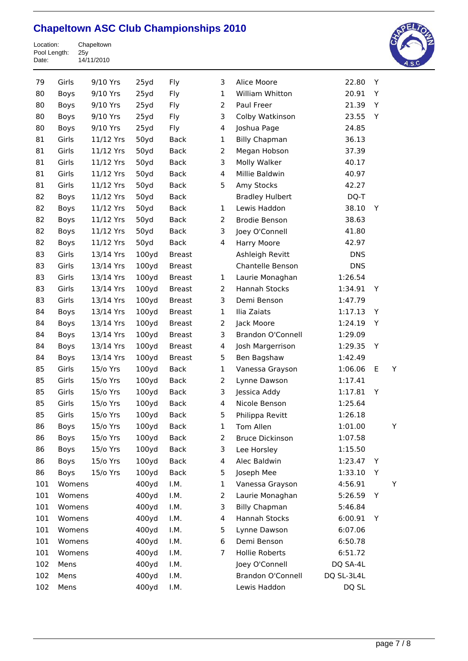

| 79<br>Girls<br>9/10 Yrs<br>25yd<br>Fly<br>3<br>Alice Moore<br>22.80<br>Y<br>25yd<br>$\mathbf{1}$<br>William Whitton<br>20.91<br>80<br>9/10 Yrs<br>Fly<br>Y<br>Boys<br>25yd<br>2<br>Paul Freer<br>21.39<br>Υ<br>80<br>9/10 Yrs<br>Fly<br>Boys<br>3<br>9/10 Yrs<br>25yd<br>Fly<br>23.55<br>Υ<br>80<br>Boys<br>Colby Watkinson<br>25yd<br>24.85<br>80<br>Boys<br>9/10 Yrs<br>Fly<br>4<br>Joshua Page<br>Girls<br>50yd<br><b>Billy Chapman</b><br>36.13<br>81<br>11/12 Yrs<br><b>Back</b><br>1<br>Girls<br>50yd<br>$\overline{2}$<br>81<br>11/12 Yrs<br><b>Back</b><br>Megan Hobson<br>37.39<br>3<br>81<br>Girls<br>11/12 Yrs<br>50yd<br><b>Back</b><br>Molly Walker<br>40.17<br>81<br>Girls<br>50yd<br>4<br>Millie Baldwin<br>11/12 Yrs<br><b>Back</b><br>40.97<br>81<br>Girls<br>11/12 Yrs<br>50yd<br><b>Back</b><br>5<br>Amy Stocks<br>42.27<br>50yd<br>82<br>11/12 Yrs<br><b>Back</b><br><b>Bradley Hulbert</b><br>DQ-T<br>Boys<br>11/12 Yrs<br>50yd<br><b>Back</b><br>Lewis Haddon<br>38.10<br>82<br>Boys<br>$\mathbf{1}$<br>Y<br>82<br>11/12 Yrs<br>50yd<br><b>Back</b><br>2<br><b>Brodie Benson</b><br>38.63<br>Boys<br>50yd<br>3<br>Joey O'Connell<br>82<br>Boys<br>11/12 Yrs<br><b>Back</b><br>41.80<br>11/12 Yrs<br>50yd<br>82<br>Boys<br><b>Back</b><br>4<br>Harry Moore<br>42.97<br>Girls<br>100y <sub>d</sub><br>83<br>13/14 Yrs<br><b>Breast</b><br>Ashleigh Revitt<br><b>DNS</b><br>Girls<br>13/14 Yrs<br>100y <sub>d</sub><br>Chantelle Benson<br><b>DNS</b><br>83<br><b>Breast</b><br>83<br>Girls<br>100y <sub>d</sub><br>1:26.54<br>13/14 Yrs<br><b>Breast</b><br>1<br>Laurie Monaghan<br>Girls<br>13/14 Yrs<br>100y <sub>d</sub><br>2<br>Hannah Stocks<br>1:34.91<br>83<br>Υ<br><b>Breast</b><br>3<br>83<br>Girls<br>100y <sub>d</sub><br>Demi Benson<br>1:47.79<br>13/14 Yrs<br><b>Breast</b><br>100y <sub>d</sub><br>Ilia Zaiats<br>84<br>Boys<br>13/14 Yrs<br><b>Breast</b><br>1<br>1:17.13<br>Y<br>100y <sub>d</sub><br>2<br>1:24.19<br>84<br>Boys<br>13/14 Yrs<br><b>Breast</b><br>Jack Moore<br>Y<br>100y <sub>d</sub><br>3<br>84<br>Boys<br>13/14 Yrs<br>Brandon O'Connell<br>1:29.09<br><b>Breast</b><br>13/14 Yrs<br>100y <sub>d</sub><br>4<br>1:29.35<br>84<br>Boys<br><b>Breast</b><br>Josh Margerrison<br>Υ<br>100y <sub>d</sub><br>5<br>84<br>Boys<br>13/14 Yrs<br><b>Breast</b><br>Ben Bagshaw<br>1:42.49<br>Girls<br>100y <sub>d</sub><br>1:06.06<br>Ε<br>85<br>15/o Yrs<br><b>Back</b><br>1<br>Vanessa Grayson<br>Y<br>85<br>Girls<br>100y <sub>d</sub><br>2<br>1:17.41<br>15/o Yrs<br><b>Back</b><br>Lynne Dawson<br>3<br>85<br>Girls<br>100y <sub>d</sub><br>1:17.81<br>15/o Yrs<br><b>Back</b><br>Jessica Addy<br>Υ<br>85<br>Girls<br>100yd<br>Nicole Benson<br>1:25.64<br>15/o Yrs<br><b>Back</b><br>4<br>Girls<br>100y <sub>d</sub><br>5<br>85<br>15/o Yrs<br><b>Back</b><br>Philippa Revitt<br>1:26.18<br>86<br>Boys<br>15/o Yrs<br>100y <sub>d</sub><br><b>Back</b><br>Tom Allen<br>1:01.00<br>Υ<br>$\mathbf{1}$<br>100yd<br>2<br>1:07.58<br>86<br>Boys<br>15/o Yrs<br><b>Back</b><br><b>Bruce Dickinson</b><br>3<br>86<br>Boys<br>15/o Yrs<br>100yd<br><b>Back</b><br>Lee Horsley<br>1:15.50<br>100yd<br>1:23.47<br>86<br>Boys<br>15/o Yrs<br><b>Back</b><br>4<br>Alec Baldwin<br>Y<br>100y <sub>d</sub><br>5<br>1:33.10<br>86<br>Boys<br>15/o Yrs<br><b>Back</b><br>Joseph Mee<br>Υ<br>101<br>400yd<br>I.M.<br>Υ<br>Womens<br>1<br>4:56.91<br>Vanessa Grayson<br>101<br>400yd<br>I.M.<br>$\overline{c}$<br>Υ<br>Womens<br>Laurie Monaghan<br>5:26.59<br>101<br>400yd<br>I.M.<br>3<br>5:46.84<br>Womens<br><b>Billy Chapman</b><br>101<br>400yd<br>Womens<br>I.M.<br>4<br>Hannah Stocks<br>6:00.91<br>Y<br>101<br>400yd<br>5<br>6:07.06<br>Womens<br>I.M.<br>Lynne Dawson<br>101<br>400yd<br>I.M.<br>6<br>Womens<br>Demi Benson<br>6:50.78<br>101<br>400yd<br>I.M.<br>Womens<br>7<br>Hollie Roberts<br>6:51.72<br>102<br>400yd<br>I.M.<br>DQ SA-4L<br>Mens<br>Joey O'Connell<br>102<br>400yd<br>I.M.<br>Brandon O'Connell<br>DQ SL-3L4L<br>Mens |     |      |       |      |              |       |  |
|----------------------------------------------------------------------------------------------------------------------------------------------------------------------------------------------------------------------------------------------------------------------------------------------------------------------------------------------------------------------------------------------------------------------------------------------------------------------------------------------------------------------------------------------------------------------------------------------------------------------------------------------------------------------------------------------------------------------------------------------------------------------------------------------------------------------------------------------------------------------------------------------------------------------------------------------------------------------------------------------------------------------------------------------------------------------------------------------------------------------------------------------------------------------------------------------------------------------------------------------------------------------------------------------------------------------------------------------------------------------------------------------------------------------------------------------------------------------------------------------------------------------------------------------------------------------------------------------------------------------------------------------------------------------------------------------------------------------------------------------------------------------------------------------------------------------------------------------------------------------------------------------------------------------------------------------------------------------------------------------------------------------------------------------------------------------------------------------------------------------------------------------------------------------------------------------------------------------------------------------------------------------------------------------------------------------------------------------------------------------------------------------------------------------------------------------------------------------------------------------------------------------------------------------------------------------------------------------------------------------------------------------------------------------------------------------------------------------------------------------------------------------------------------------------------------------------------------------------------------------------------------------------------------------------------------------------------------------------------------------------------------------------------------------------------------------------------------------------------------------------------------------------------------------------------------------------------------------------------------------------------------------------------------------------------------------------------------------------------------------------------------------------------------------------------------------------------------------------------------------------------------------------------------------------------------------------------------------------------------------------------------------------------------------------------------------------------------------------------------------------------------------------------------------------------------------------------------------------------------------------------------------------------------------------------------------------------------------------------------|-----|------|-------|------|--------------|-------|--|
|                                                                                                                                                                                                                                                                                                                                                                                                                                                                                                                                                                                                                                                                                                                                                                                                                                                                                                                                                                                                                                                                                                                                                                                                                                                                                                                                                                                                                                                                                                                                                                                                                                                                                                                                                                                                                                                                                                                                                                                                                                                                                                                                                                                                                                                                                                                                                                                                                                                                                                                                                                                                                                                                                                                                                                                                                                                                                                                                                                                                                                                                                                                                                                                                                                                                                                                                                                                                                                                                                                                                                                                                                                                                                                                                                                                                                                                                                                                                                                                        |     |      |       |      |              |       |  |
|                                                                                                                                                                                                                                                                                                                                                                                                                                                                                                                                                                                                                                                                                                                                                                                                                                                                                                                                                                                                                                                                                                                                                                                                                                                                                                                                                                                                                                                                                                                                                                                                                                                                                                                                                                                                                                                                                                                                                                                                                                                                                                                                                                                                                                                                                                                                                                                                                                                                                                                                                                                                                                                                                                                                                                                                                                                                                                                                                                                                                                                                                                                                                                                                                                                                                                                                                                                                                                                                                                                                                                                                                                                                                                                                                                                                                                                                                                                                                                                        |     |      |       |      |              |       |  |
|                                                                                                                                                                                                                                                                                                                                                                                                                                                                                                                                                                                                                                                                                                                                                                                                                                                                                                                                                                                                                                                                                                                                                                                                                                                                                                                                                                                                                                                                                                                                                                                                                                                                                                                                                                                                                                                                                                                                                                                                                                                                                                                                                                                                                                                                                                                                                                                                                                                                                                                                                                                                                                                                                                                                                                                                                                                                                                                                                                                                                                                                                                                                                                                                                                                                                                                                                                                                                                                                                                                                                                                                                                                                                                                                                                                                                                                                                                                                                                                        |     |      |       |      |              |       |  |
|                                                                                                                                                                                                                                                                                                                                                                                                                                                                                                                                                                                                                                                                                                                                                                                                                                                                                                                                                                                                                                                                                                                                                                                                                                                                                                                                                                                                                                                                                                                                                                                                                                                                                                                                                                                                                                                                                                                                                                                                                                                                                                                                                                                                                                                                                                                                                                                                                                                                                                                                                                                                                                                                                                                                                                                                                                                                                                                                                                                                                                                                                                                                                                                                                                                                                                                                                                                                                                                                                                                                                                                                                                                                                                                                                                                                                                                                                                                                                                                        |     |      |       |      |              |       |  |
|                                                                                                                                                                                                                                                                                                                                                                                                                                                                                                                                                                                                                                                                                                                                                                                                                                                                                                                                                                                                                                                                                                                                                                                                                                                                                                                                                                                                                                                                                                                                                                                                                                                                                                                                                                                                                                                                                                                                                                                                                                                                                                                                                                                                                                                                                                                                                                                                                                                                                                                                                                                                                                                                                                                                                                                                                                                                                                                                                                                                                                                                                                                                                                                                                                                                                                                                                                                                                                                                                                                                                                                                                                                                                                                                                                                                                                                                                                                                                                                        |     |      |       |      |              |       |  |
|                                                                                                                                                                                                                                                                                                                                                                                                                                                                                                                                                                                                                                                                                                                                                                                                                                                                                                                                                                                                                                                                                                                                                                                                                                                                                                                                                                                                                                                                                                                                                                                                                                                                                                                                                                                                                                                                                                                                                                                                                                                                                                                                                                                                                                                                                                                                                                                                                                                                                                                                                                                                                                                                                                                                                                                                                                                                                                                                                                                                                                                                                                                                                                                                                                                                                                                                                                                                                                                                                                                                                                                                                                                                                                                                                                                                                                                                                                                                                                                        |     |      |       |      |              |       |  |
|                                                                                                                                                                                                                                                                                                                                                                                                                                                                                                                                                                                                                                                                                                                                                                                                                                                                                                                                                                                                                                                                                                                                                                                                                                                                                                                                                                                                                                                                                                                                                                                                                                                                                                                                                                                                                                                                                                                                                                                                                                                                                                                                                                                                                                                                                                                                                                                                                                                                                                                                                                                                                                                                                                                                                                                                                                                                                                                                                                                                                                                                                                                                                                                                                                                                                                                                                                                                                                                                                                                                                                                                                                                                                                                                                                                                                                                                                                                                                                                        |     |      |       |      |              |       |  |
|                                                                                                                                                                                                                                                                                                                                                                                                                                                                                                                                                                                                                                                                                                                                                                                                                                                                                                                                                                                                                                                                                                                                                                                                                                                                                                                                                                                                                                                                                                                                                                                                                                                                                                                                                                                                                                                                                                                                                                                                                                                                                                                                                                                                                                                                                                                                                                                                                                                                                                                                                                                                                                                                                                                                                                                                                                                                                                                                                                                                                                                                                                                                                                                                                                                                                                                                                                                                                                                                                                                                                                                                                                                                                                                                                                                                                                                                                                                                                                                        |     |      |       |      |              |       |  |
|                                                                                                                                                                                                                                                                                                                                                                                                                                                                                                                                                                                                                                                                                                                                                                                                                                                                                                                                                                                                                                                                                                                                                                                                                                                                                                                                                                                                                                                                                                                                                                                                                                                                                                                                                                                                                                                                                                                                                                                                                                                                                                                                                                                                                                                                                                                                                                                                                                                                                                                                                                                                                                                                                                                                                                                                                                                                                                                                                                                                                                                                                                                                                                                                                                                                                                                                                                                                                                                                                                                                                                                                                                                                                                                                                                                                                                                                                                                                                                                        |     |      |       |      |              |       |  |
|                                                                                                                                                                                                                                                                                                                                                                                                                                                                                                                                                                                                                                                                                                                                                                                                                                                                                                                                                                                                                                                                                                                                                                                                                                                                                                                                                                                                                                                                                                                                                                                                                                                                                                                                                                                                                                                                                                                                                                                                                                                                                                                                                                                                                                                                                                                                                                                                                                                                                                                                                                                                                                                                                                                                                                                                                                                                                                                                                                                                                                                                                                                                                                                                                                                                                                                                                                                                                                                                                                                                                                                                                                                                                                                                                                                                                                                                                                                                                                                        |     |      |       |      |              |       |  |
|                                                                                                                                                                                                                                                                                                                                                                                                                                                                                                                                                                                                                                                                                                                                                                                                                                                                                                                                                                                                                                                                                                                                                                                                                                                                                                                                                                                                                                                                                                                                                                                                                                                                                                                                                                                                                                                                                                                                                                                                                                                                                                                                                                                                                                                                                                                                                                                                                                                                                                                                                                                                                                                                                                                                                                                                                                                                                                                                                                                                                                                                                                                                                                                                                                                                                                                                                                                                                                                                                                                                                                                                                                                                                                                                                                                                                                                                                                                                                                                        |     |      |       |      |              |       |  |
|                                                                                                                                                                                                                                                                                                                                                                                                                                                                                                                                                                                                                                                                                                                                                                                                                                                                                                                                                                                                                                                                                                                                                                                                                                                                                                                                                                                                                                                                                                                                                                                                                                                                                                                                                                                                                                                                                                                                                                                                                                                                                                                                                                                                                                                                                                                                                                                                                                                                                                                                                                                                                                                                                                                                                                                                                                                                                                                                                                                                                                                                                                                                                                                                                                                                                                                                                                                                                                                                                                                                                                                                                                                                                                                                                                                                                                                                                                                                                                                        |     |      |       |      |              |       |  |
|                                                                                                                                                                                                                                                                                                                                                                                                                                                                                                                                                                                                                                                                                                                                                                                                                                                                                                                                                                                                                                                                                                                                                                                                                                                                                                                                                                                                                                                                                                                                                                                                                                                                                                                                                                                                                                                                                                                                                                                                                                                                                                                                                                                                                                                                                                                                                                                                                                                                                                                                                                                                                                                                                                                                                                                                                                                                                                                                                                                                                                                                                                                                                                                                                                                                                                                                                                                                                                                                                                                                                                                                                                                                                                                                                                                                                                                                                                                                                                                        |     |      |       |      |              |       |  |
|                                                                                                                                                                                                                                                                                                                                                                                                                                                                                                                                                                                                                                                                                                                                                                                                                                                                                                                                                                                                                                                                                                                                                                                                                                                                                                                                                                                                                                                                                                                                                                                                                                                                                                                                                                                                                                                                                                                                                                                                                                                                                                                                                                                                                                                                                                                                                                                                                                                                                                                                                                                                                                                                                                                                                                                                                                                                                                                                                                                                                                                                                                                                                                                                                                                                                                                                                                                                                                                                                                                                                                                                                                                                                                                                                                                                                                                                                                                                                                                        |     |      |       |      |              |       |  |
|                                                                                                                                                                                                                                                                                                                                                                                                                                                                                                                                                                                                                                                                                                                                                                                                                                                                                                                                                                                                                                                                                                                                                                                                                                                                                                                                                                                                                                                                                                                                                                                                                                                                                                                                                                                                                                                                                                                                                                                                                                                                                                                                                                                                                                                                                                                                                                                                                                                                                                                                                                                                                                                                                                                                                                                                                                                                                                                                                                                                                                                                                                                                                                                                                                                                                                                                                                                                                                                                                                                                                                                                                                                                                                                                                                                                                                                                                                                                                                                        |     |      |       |      |              |       |  |
|                                                                                                                                                                                                                                                                                                                                                                                                                                                                                                                                                                                                                                                                                                                                                                                                                                                                                                                                                                                                                                                                                                                                                                                                                                                                                                                                                                                                                                                                                                                                                                                                                                                                                                                                                                                                                                                                                                                                                                                                                                                                                                                                                                                                                                                                                                                                                                                                                                                                                                                                                                                                                                                                                                                                                                                                                                                                                                                                                                                                                                                                                                                                                                                                                                                                                                                                                                                                                                                                                                                                                                                                                                                                                                                                                                                                                                                                                                                                                                                        |     |      |       |      |              |       |  |
|                                                                                                                                                                                                                                                                                                                                                                                                                                                                                                                                                                                                                                                                                                                                                                                                                                                                                                                                                                                                                                                                                                                                                                                                                                                                                                                                                                                                                                                                                                                                                                                                                                                                                                                                                                                                                                                                                                                                                                                                                                                                                                                                                                                                                                                                                                                                                                                                                                                                                                                                                                                                                                                                                                                                                                                                                                                                                                                                                                                                                                                                                                                                                                                                                                                                                                                                                                                                                                                                                                                                                                                                                                                                                                                                                                                                                                                                                                                                                                                        |     |      |       |      |              |       |  |
|                                                                                                                                                                                                                                                                                                                                                                                                                                                                                                                                                                                                                                                                                                                                                                                                                                                                                                                                                                                                                                                                                                                                                                                                                                                                                                                                                                                                                                                                                                                                                                                                                                                                                                                                                                                                                                                                                                                                                                                                                                                                                                                                                                                                                                                                                                                                                                                                                                                                                                                                                                                                                                                                                                                                                                                                                                                                                                                                                                                                                                                                                                                                                                                                                                                                                                                                                                                                                                                                                                                                                                                                                                                                                                                                                                                                                                                                                                                                                                                        |     |      |       |      |              |       |  |
|                                                                                                                                                                                                                                                                                                                                                                                                                                                                                                                                                                                                                                                                                                                                                                                                                                                                                                                                                                                                                                                                                                                                                                                                                                                                                                                                                                                                                                                                                                                                                                                                                                                                                                                                                                                                                                                                                                                                                                                                                                                                                                                                                                                                                                                                                                                                                                                                                                                                                                                                                                                                                                                                                                                                                                                                                                                                                                                                                                                                                                                                                                                                                                                                                                                                                                                                                                                                                                                                                                                                                                                                                                                                                                                                                                                                                                                                                                                                                                                        |     |      |       |      |              |       |  |
|                                                                                                                                                                                                                                                                                                                                                                                                                                                                                                                                                                                                                                                                                                                                                                                                                                                                                                                                                                                                                                                                                                                                                                                                                                                                                                                                                                                                                                                                                                                                                                                                                                                                                                                                                                                                                                                                                                                                                                                                                                                                                                                                                                                                                                                                                                                                                                                                                                                                                                                                                                                                                                                                                                                                                                                                                                                                                                                                                                                                                                                                                                                                                                                                                                                                                                                                                                                                                                                                                                                                                                                                                                                                                                                                                                                                                                                                                                                                                                                        |     |      |       |      |              |       |  |
|                                                                                                                                                                                                                                                                                                                                                                                                                                                                                                                                                                                                                                                                                                                                                                                                                                                                                                                                                                                                                                                                                                                                                                                                                                                                                                                                                                                                                                                                                                                                                                                                                                                                                                                                                                                                                                                                                                                                                                                                                                                                                                                                                                                                                                                                                                                                                                                                                                                                                                                                                                                                                                                                                                                                                                                                                                                                                                                                                                                                                                                                                                                                                                                                                                                                                                                                                                                                                                                                                                                                                                                                                                                                                                                                                                                                                                                                                                                                                                                        |     |      |       |      |              |       |  |
|                                                                                                                                                                                                                                                                                                                                                                                                                                                                                                                                                                                                                                                                                                                                                                                                                                                                                                                                                                                                                                                                                                                                                                                                                                                                                                                                                                                                                                                                                                                                                                                                                                                                                                                                                                                                                                                                                                                                                                                                                                                                                                                                                                                                                                                                                                                                                                                                                                                                                                                                                                                                                                                                                                                                                                                                                                                                                                                                                                                                                                                                                                                                                                                                                                                                                                                                                                                                                                                                                                                                                                                                                                                                                                                                                                                                                                                                                                                                                                                        |     |      |       |      |              |       |  |
|                                                                                                                                                                                                                                                                                                                                                                                                                                                                                                                                                                                                                                                                                                                                                                                                                                                                                                                                                                                                                                                                                                                                                                                                                                                                                                                                                                                                                                                                                                                                                                                                                                                                                                                                                                                                                                                                                                                                                                                                                                                                                                                                                                                                                                                                                                                                                                                                                                                                                                                                                                                                                                                                                                                                                                                                                                                                                                                                                                                                                                                                                                                                                                                                                                                                                                                                                                                                                                                                                                                                                                                                                                                                                                                                                                                                                                                                                                                                                                                        |     |      |       |      |              |       |  |
|                                                                                                                                                                                                                                                                                                                                                                                                                                                                                                                                                                                                                                                                                                                                                                                                                                                                                                                                                                                                                                                                                                                                                                                                                                                                                                                                                                                                                                                                                                                                                                                                                                                                                                                                                                                                                                                                                                                                                                                                                                                                                                                                                                                                                                                                                                                                                                                                                                                                                                                                                                                                                                                                                                                                                                                                                                                                                                                                                                                                                                                                                                                                                                                                                                                                                                                                                                                                                                                                                                                                                                                                                                                                                                                                                                                                                                                                                                                                                                                        |     |      |       |      |              |       |  |
|                                                                                                                                                                                                                                                                                                                                                                                                                                                                                                                                                                                                                                                                                                                                                                                                                                                                                                                                                                                                                                                                                                                                                                                                                                                                                                                                                                                                                                                                                                                                                                                                                                                                                                                                                                                                                                                                                                                                                                                                                                                                                                                                                                                                                                                                                                                                                                                                                                                                                                                                                                                                                                                                                                                                                                                                                                                                                                                                                                                                                                                                                                                                                                                                                                                                                                                                                                                                                                                                                                                                                                                                                                                                                                                                                                                                                                                                                                                                                                                        |     |      |       |      |              |       |  |
|                                                                                                                                                                                                                                                                                                                                                                                                                                                                                                                                                                                                                                                                                                                                                                                                                                                                                                                                                                                                                                                                                                                                                                                                                                                                                                                                                                                                                                                                                                                                                                                                                                                                                                                                                                                                                                                                                                                                                                                                                                                                                                                                                                                                                                                                                                                                                                                                                                                                                                                                                                                                                                                                                                                                                                                                                                                                                                                                                                                                                                                                                                                                                                                                                                                                                                                                                                                                                                                                                                                                                                                                                                                                                                                                                                                                                                                                                                                                                                                        |     |      |       |      |              |       |  |
|                                                                                                                                                                                                                                                                                                                                                                                                                                                                                                                                                                                                                                                                                                                                                                                                                                                                                                                                                                                                                                                                                                                                                                                                                                                                                                                                                                                                                                                                                                                                                                                                                                                                                                                                                                                                                                                                                                                                                                                                                                                                                                                                                                                                                                                                                                                                                                                                                                                                                                                                                                                                                                                                                                                                                                                                                                                                                                                                                                                                                                                                                                                                                                                                                                                                                                                                                                                                                                                                                                                                                                                                                                                                                                                                                                                                                                                                                                                                                                                        |     |      |       |      |              |       |  |
|                                                                                                                                                                                                                                                                                                                                                                                                                                                                                                                                                                                                                                                                                                                                                                                                                                                                                                                                                                                                                                                                                                                                                                                                                                                                                                                                                                                                                                                                                                                                                                                                                                                                                                                                                                                                                                                                                                                                                                                                                                                                                                                                                                                                                                                                                                                                                                                                                                                                                                                                                                                                                                                                                                                                                                                                                                                                                                                                                                                                                                                                                                                                                                                                                                                                                                                                                                                                                                                                                                                                                                                                                                                                                                                                                                                                                                                                                                                                                                                        |     |      |       |      |              |       |  |
|                                                                                                                                                                                                                                                                                                                                                                                                                                                                                                                                                                                                                                                                                                                                                                                                                                                                                                                                                                                                                                                                                                                                                                                                                                                                                                                                                                                                                                                                                                                                                                                                                                                                                                                                                                                                                                                                                                                                                                                                                                                                                                                                                                                                                                                                                                                                                                                                                                                                                                                                                                                                                                                                                                                                                                                                                                                                                                                                                                                                                                                                                                                                                                                                                                                                                                                                                                                                                                                                                                                                                                                                                                                                                                                                                                                                                                                                                                                                                                                        |     |      |       |      |              |       |  |
|                                                                                                                                                                                                                                                                                                                                                                                                                                                                                                                                                                                                                                                                                                                                                                                                                                                                                                                                                                                                                                                                                                                                                                                                                                                                                                                                                                                                                                                                                                                                                                                                                                                                                                                                                                                                                                                                                                                                                                                                                                                                                                                                                                                                                                                                                                                                                                                                                                                                                                                                                                                                                                                                                                                                                                                                                                                                                                                                                                                                                                                                                                                                                                                                                                                                                                                                                                                                                                                                                                                                                                                                                                                                                                                                                                                                                                                                                                                                                                                        |     |      |       |      |              |       |  |
|                                                                                                                                                                                                                                                                                                                                                                                                                                                                                                                                                                                                                                                                                                                                                                                                                                                                                                                                                                                                                                                                                                                                                                                                                                                                                                                                                                                                                                                                                                                                                                                                                                                                                                                                                                                                                                                                                                                                                                                                                                                                                                                                                                                                                                                                                                                                                                                                                                                                                                                                                                                                                                                                                                                                                                                                                                                                                                                                                                                                                                                                                                                                                                                                                                                                                                                                                                                                                                                                                                                                                                                                                                                                                                                                                                                                                                                                                                                                                                                        |     |      |       |      |              |       |  |
|                                                                                                                                                                                                                                                                                                                                                                                                                                                                                                                                                                                                                                                                                                                                                                                                                                                                                                                                                                                                                                                                                                                                                                                                                                                                                                                                                                                                                                                                                                                                                                                                                                                                                                                                                                                                                                                                                                                                                                                                                                                                                                                                                                                                                                                                                                                                                                                                                                                                                                                                                                                                                                                                                                                                                                                                                                                                                                                                                                                                                                                                                                                                                                                                                                                                                                                                                                                                                                                                                                                                                                                                                                                                                                                                                                                                                                                                                                                                                                                        |     |      |       |      |              |       |  |
|                                                                                                                                                                                                                                                                                                                                                                                                                                                                                                                                                                                                                                                                                                                                                                                                                                                                                                                                                                                                                                                                                                                                                                                                                                                                                                                                                                                                                                                                                                                                                                                                                                                                                                                                                                                                                                                                                                                                                                                                                                                                                                                                                                                                                                                                                                                                                                                                                                                                                                                                                                                                                                                                                                                                                                                                                                                                                                                                                                                                                                                                                                                                                                                                                                                                                                                                                                                                                                                                                                                                                                                                                                                                                                                                                                                                                                                                                                                                                                                        |     |      |       |      |              |       |  |
|                                                                                                                                                                                                                                                                                                                                                                                                                                                                                                                                                                                                                                                                                                                                                                                                                                                                                                                                                                                                                                                                                                                                                                                                                                                                                                                                                                                                                                                                                                                                                                                                                                                                                                                                                                                                                                                                                                                                                                                                                                                                                                                                                                                                                                                                                                                                                                                                                                                                                                                                                                                                                                                                                                                                                                                                                                                                                                                                                                                                                                                                                                                                                                                                                                                                                                                                                                                                                                                                                                                                                                                                                                                                                                                                                                                                                                                                                                                                                                                        |     |      |       |      |              |       |  |
|                                                                                                                                                                                                                                                                                                                                                                                                                                                                                                                                                                                                                                                                                                                                                                                                                                                                                                                                                                                                                                                                                                                                                                                                                                                                                                                                                                                                                                                                                                                                                                                                                                                                                                                                                                                                                                                                                                                                                                                                                                                                                                                                                                                                                                                                                                                                                                                                                                                                                                                                                                                                                                                                                                                                                                                                                                                                                                                                                                                                                                                                                                                                                                                                                                                                                                                                                                                                                                                                                                                                                                                                                                                                                                                                                                                                                                                                                                                                                                                        |     |      |       |      |              |       |  |
|                                                                                                                                                                                                                                                                                                                                                                                                                                                                                                                                                                                                                                                                                                                                                                                                                                                                                                                                                                                                                                                                                                                                                                                                                                                                                                                                                                                                                                                                                                                                                                                                                                                                                                                                                                                                                                                                                                                                                                                                                                                                                                                                                                                                                                                                                                                                                                                                                                                                                                                                                                                                                                                                                                                                                                                                                                                                                                                                                                                                                                                                                                                                                                                                                                                                                                                                                                                                                                                                                                                                                                                                                                                                                                                                                                                                                                                                                                                                                                                        |     |      |       |      |              |       |  |
|                                                                                                                                                                                                                                                                                                                                                                                                                                                                                                                                                                                                                                                                                                                                                                                                                                                                                                                                                                                                                                                                                                                                                                                                                                                                                                                                                                                                                                                                                                                                                                                                                                                                                                                                                                                                                                                                                                                                                                                                                                                                                                                                                                                                                                                                                                                                                                                                                                                                                                                                                                                                                                                                                                                                                                                                                                                                                                                                                                                                                                                                                                                                                                                                                                                                                                                                                                                                                                                                                                                                                                                                                                                                                                                                                                                                                                                                                                                                                                                        |     |      |       |      |              |       |  |
|                                                                                                                                                                                                                                                                                                                                                                                                                                                                                                                                                                                                                                                                                                                                                                                                                                                                                                                                                                                                                                                                                                                                                                                                                                                                                                                                                                                                                                                                                                                                                                                                                                                                                                                                                                                                                                                                                                                                                                                                                                                                                                                                                                                                                                                                                                                                                                                                                                                                                                                                                                                                                                                                                                                                                                                                                                                                                                                                                                                                                                                                                                                                                                                                                                                                                                                                                                                                                                                                                                                                                                                                                                                                                                                                                                                                                                                                                                                                                                                        |     |      |       |      |              |       |  |
|                                                                                                                                                                                                                                                                                                                                                                                                                                                                                                                                                                                                                                                                                                                                                                                                                                                                                                                                                                                                                                                                                                                                                                                                                                                                                                                                                                                                                                                                                                                                                                                                                                                                                                                                                                                                                                                                                                                                                                                                                                                                                                                                                                                                                                                                                                                                                                                                                                                                                                                                                                                                                                                                                                                                                                                                                                                                                                                                                                                                                                                                                                                                                                                                                                                                                                                                                                                                                                                                                                                                                                                                                                                                                                                                                                                                                                                                                                                                                                                        |     |      |       |      |              |       |  |
|                                                                                                                                                                                                                                                                                                                                                                                                                                                                                                                                                                                                                                                                                                                                                                                                                                                                                                                                                                                                                                                                                                                                                                                                                                                                                                                                                                                                                                                                                                                                                                                                                                                                                                                                                                                                                                                                                                                                                                                                                                                                                                                                                                                                                                                                                                                                                                                                                                                                                                                                                                                                                                                                                                                                                                                                                                                                                                                                                                                                                                                                                                                                                                                                                                                                                                                                                                                                                                                                                                                                                                                                                                                                                                                                                                                                                                                                                                                                                                                        |     |      |       |      |              |       |  |
|                                                                                                                                                                                                                                                                                                                                                                                                                                                                                                                                                                                                                                                                                                                                                                                                                                                                                                                                                                                                                                                                                                                                                                                                                                                                                                                                                                                                                                                                                                                                                                                                                                                                                                                                                                                                                                                                                                                                                                                                                                                                                                                                                                                                                                                                                                                                                                                                                                                                                                                                                                                                                                                                                                                                                                                                                                                                                                                                                                                                                                                                                                                                                                                                                                                                                                                                                                                                                                                                                                                                                                                                                                                                                                                                                                                                                                                                                                                                                                                        |     |      |       |      |              |       |  |
|                                                                                                                                                                                                                                                                                                                                                                                                                                                                                                                                                                                                                                                                                                                                                                                                                                                                                                                                                                                                                                                                                                                                                                                                                                                                                                                                                                                                                                                                                                                                                                                                                                                                                                                                                                                                                                                                                                                                                                                                                                                                                                                                                                                                                                                                                                                                                                                                                                                                                                                                                                                                                                                                                                                                                                                                                                                                                                                                                                                                                                                                                                                                                                                                                                                                                                                                                                                                                                                                                                                                                                                                                                                                                                                                                                                                                                                                                                                                                                                        |     |      |       |      |              |       |  |
|                                                                                                                                                                                                                                                                                                                                                                                                                                                                                                                                                                                                                                                                                                                                                                                                                                                                                                                                                                                                                                                                                                                                                                                                                                                                                                                                                                                                                                                                                                                                                                                                                                                                                                                                                                                                                                                                                                                                                                                                                                                                                                                                                                                                                                                                                                                                                                                                                                                                                                                                                                                                                                                                                                                                                                                                                                                                                                                                                                                                                                                                                                                                                                                                                                                                                                                                                                                                                                                                                                                                                                                                                                                                                                                                                                                                                                                                                                                                                                                        |     |      |       |      |              |       |  |
|                                                                                                                                                                                                                                                                                                                                                                                                                                                                                                                                                                                                                                                                                                                                                                                                                                                                                                                                                                                                                                                                                                                                                                                                                                                                                                                                                                                                                                                                                                                                                                                                                                                                                                                                                                                                                                                                                                                                                                                                                                                                                                                                                                                                                                                                                                                                                                                                                                                                                                                                                                                                                                                                                                                                                                                                                                                                                                                                                                                                                                                                                                                                                                                                                                                                                                                                                                                                                                                                                                                                                                                                                                                                                                                                                                                                                                                                                                                                                                                        |     |      |       |      |              |       |  |
|                                                                                                                                                                                                                                                                                                                                                                                                                                                                                                                                                                                                                                                                                                                                                                                                                                                                                                                                                                                                                                                                                                                                                                                                                                                                                                                                                                                                                                                                                                                                                                                                                                                                                                                                                                                                                                                                                                                                                                                                                                                                                                                                                                                                                                                                                                                                                                                                                                                                                                                                                                                                                                                                                                                                                                                                                                                                                                                                                                                                                                                                                                                                                                                                                                                                                                                                                                                                                                                                                                                                                                                                                                                                                                                                                                                                                                                                                                                                                                                        | 102 | Mens | 400yd | I.M. | Lewis Haddon | DQ SL |  |